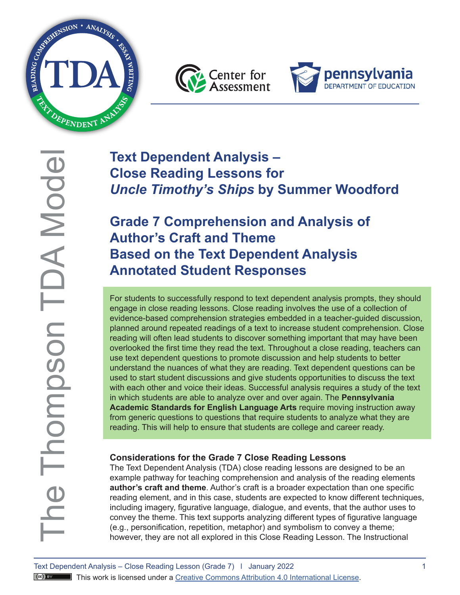





# **Text Dependent Analysis – Close Reading Lessons for**  *Uncle Timothy's Ships* **by Summer Woodford**

# **Grade 7 Comprehension and Analysis of Author's Craft and Theme Based on the Text Dependent Analysis Annotated Student Responses**

 For students to successfully respond to text dependent analysis prompts, they should engage in close reading lessons. Close reading involves the use of a collection of evidence-based comprehension strategies embedded in a teacher-guided discussion, planned around repeated readings of a text to increase student comprehension. Close reading will often lead students to discover something important that may have been overlooked the first time they read the text. Throughout a close reading, teachers can use text dependent questions to promote discussion and help students to better understand the nuances of what they are reading. Text dependent questions can be used to start student discussions and give students opportunities to discuss the text with each other and voice their ideas. Successful analysis requires a study of the text in which students are able to analyze over and over again. The **Pennsylvania Academic Standards for English Language Arts** require moving instruction away from generic questions to questions that require students to analyze what they are reading. This will help to ensure that students are college and career ready.

# **Considerations for the Grade 7 Close Reading Lessons**

The Text Dependent Analysis (TDA) close reading lessons are designed to be an example pathway for teaching comprehension and analysis of the reading elements **author's craft and theme**. Author's craft is a broader expectation than one specific reading element, and in this case, students are expected to know different techniques, including imagery, figurative language, dialogue, and events, that the author uses to convey the theme. This text supports analyzing different types of figurative language (e.g., personification, repetition, metaphor) and symbolism to convey a theme; however, they are not all explored in this Close Reading Lesson. The Instructional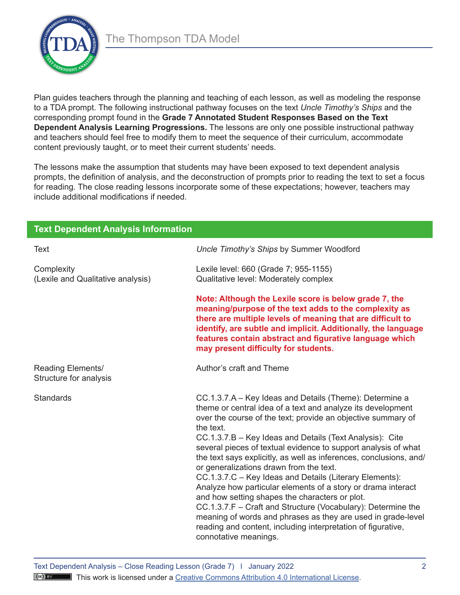

Plan guides teachers through the planning and teaching of each lesson, as well as modeling the response to a TDA prompt. The following instructional pathway focuses on the text *Uncle Timothy's Ships* and the corresponding prompt found in the **Grade 7 Annotated Student Responses Based on the Text Dependent Analysis Learning Progressions.** The lessons are only one possible instructional pathway and teachers should feel free to modify them to meet the sequence of their curriculum, accommodate content previously taught, or to meet their current students' needs.

The lessons make the assumption that students may have been exposed to text dependent analysis prompts, the definition of analysis, and the deconstruction of prompts prior to reading the text to set a focus for reading. The close reading lessons incorporate some of these expectations; however, teachers may include additional modifications if needed.

| <b>Text Dependent Analysis Information</b>      |                                                                                                                                                                                                                                                                                                                                                                                                                                                                                                                                                                                                                                                                                                                                                                                                                                                          |  |
|-------------------------------------------------|----------------------------------------------------------------------------------------------------------------------------------------------------------------------------------------------------------------------------------------------------------------------------------------------------------------------------------------------------------------------------------------------------------------------------------------------------------------------------------------------------------------------------------------------------------------------------------------------------------------------------------------------------------------------------------------------------------------------------------------------------------------------------------------------------------------------------------------------------------|--|
| Text                                            | Uncle Timothy's Ships by Summer Woodford                                                                                                                                                                                                                                                                                                                                                                                                                                                                                                                                                                                                                                                                                                                                                                                                                 |  |
| Complexity<br>(Lexile and Qualitative analysis) | Lexile level: 660 (Grade 7; 955-1155)<br>Qualitative level: Moderately complex                                                                                                                                                                                                                                                                                                                                                                                                                                                                                                                                                                                                                                                                                                                                                                           |  |
|                                                 | Note: Although the Lexile score is below grade 7, the<br>meaning/purpose of the text adds to the complexity as<br>there are multiple levels of meaning that are difficult to<br>identify, are subtle and implicit. Additionally, the language<br>features contain abstract and figurative language which<br>may present difficulty for students.                                                                                                                                                                                                                                                                                                                                                                                                                                                                                                         |  |
| Reading Elements/<br>Structure for analysis     | Author's craft and Theme                                                                                                                                                                                                                                                                                                                                                                                                                                                                                                                                                                                                                                                                                                                                                                                                                                 |  |
| Standards                                       | CC.1.3.7.A – Key Ideas and Details (Theme): Determine a<br>theme or central idea of a text and analyze its development<br>over the course of the text; provide an objective summary of<br>the text.<br>CC.1.3.7.B - Key Ideas and Details (Text Analysis): Cite<br>several pieces of textual evidence to support analysis of what<br>the text says explicitly, as well as inferences, conclusions, and/<br>or generalizations drawn from the text.<br>CC.1.3.7.C - Key Ideas and Details (Literary Elements):<br>Analyze how particular elements of a story or drama interact<br>and how setting shapes the characters or plot.<br>CC.1.3.7.F - Craft and Structure (Vocabulary): Determine the<br>meaning of words and phrases as they are used in grade-level<br>reading and content, including interpretation of figurative,<br>connotative meanings. |  |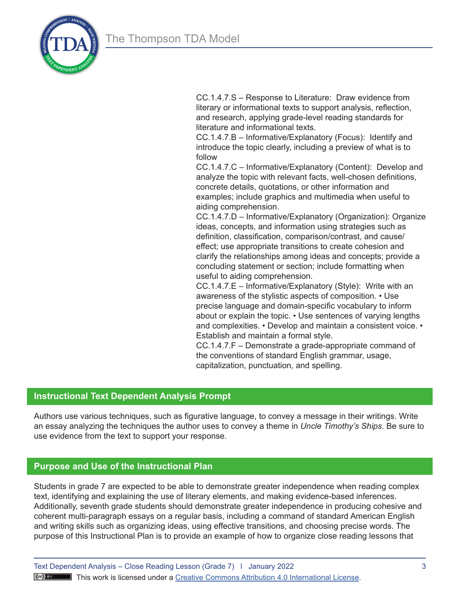

CC.1.4.7.S – Response to Literature: Draw evidence from literary or informational texts to support analysis, reflection, and research, applying grade-level reading standards for literature and informational texts.

CC.1.4.7.B – Informative/Explanatory (Focus): Identify and introduce the topic clearly, including a preview of what is to follow

CC.1.4.7.C – Informative/Explanatory (Content): Develop and analyze the topic with relevant facts, well-chosen definitions, concrete details, quotations, or other information and examples; include graphics and multimedia when useful to aiding comprehension.

CC.1.4.7.D – Informative/Explanatory (Organization): Organize ideas, concepts, and information using strategies such as definition, classification, comparison/contrast, and cause/ effect; use appropriate transitions to create cohesion and clarify the relationships among ideas and concepts; provide a concluding statement or section; include formatting when useful to aiding comprehension.

CC.1.4.7.E – Informative/Explanatory (Style): Write with an awareness of the stylistic aspects of composition. • Use precise language and domain-specific vocabulary to inform about or explain the topic. • Use sentences of varying lengths and complexities. • Develop and maintain a consistent voice. • Establish and maintain a formal style.

CC.1.4.7.F – Demonstrate a grade-appropriate command of the conventions of standard English grammar, usage, capitalization, punctuation, and spelling.

# **Instructional Text Dependent Analysis Prompt**

Authors use various techniques, such as figurative language, to convey a message in their writings. Write an essay analyzing the techniques the author uses to convey a theme in *Uncle Timothy's Ships*. Be sure to use evidence from the text to support your response.

# **Purpose and Use of the Instructional Plan**

Students in grade 7 are expected to be able to demonstrate greater independence when reading complex text, identifying and explaining the use of literary elements, and making evidence-based inferences. Additionally, seventh grade students should demonstrate greater independence in producing cohesive and coherent multi-paragraph essays on a regular basis, including a command of standard American English and writing skills such as organizing ideas, using effective transitions, and choosing precise words. The purpose of this Instructional Plan is to provide an example of how to organize close reading lessons that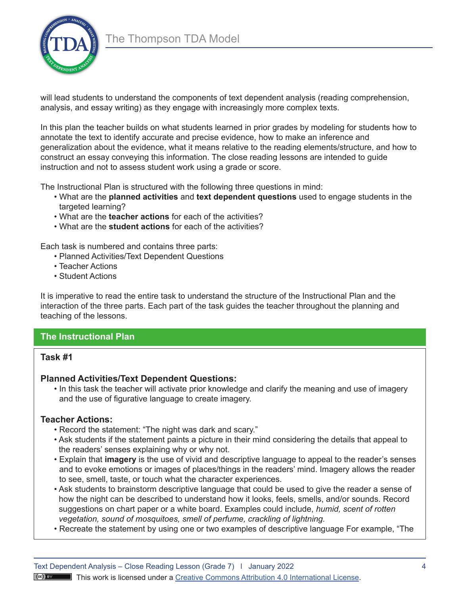

will lead students to understand the components of text dependent analysis (reading comprehension, analysis, and essay writing) as they engage with increasingly more complex texts.

In this plan the teacher builds on what students learned in prior grades by modeling for students how to annotate the text to identify accurate and precise evidence, how to make an inference and generalization about the evidence, what it means relative to the reading elements/structure, and how to construct an essay conveying this information. The close reading lessons are intended to guide instruction and not to assess student work using a grade or score.

The Instructional Plan is structured with the following three questions in mind:

- What are the **planned activities** and **text dependent questions** used to engage students in the targeted learning?
- What are the **teacher actions** for each of the activities?
- What are the **student actions** for each of the activities?

Each task is numbered and contains three parts:

- Planned Activities/Text Dependent Questions
- Teacher Actions
- Student Actions

It is imperative to read the entire task to understand the structure of the Instructional Plan and the interaction of the three parts. Each part of the task guides the teacher throughout the planning and teaching of the lessons.

# **The Instructional Plan**

# **Task #1**

# **Planned Activities/Text Dependent Questions:**

• In this task the teacher will activate prior knowledge and clarify the meaning and use of imagery and the use of figurative language to create imagery.

# **Teacher Actions:**

- Record the statement: "The night was dark and scary."
- Ask students if the statement paints a picture in their mind considering the details that appeal to the readers' senses explaining why or why not.
- Explain that **imagery** is the use of vivid and descriptive language to appeal to the reader's senses and to evoke emotions or images of places/things in the readers' mind. Imagery allows the reader to see, smell, taste, or touch what the character experiences.
- Ask students to brainstorm descriptive language that could be used to give the reader a sense of how the night can be described to understand how it looks, feels, smells, and/or sounds. Record suggestions on chart paper or a white board. Examples could include, *humid, scent of rotten vegetation, sound of mosquitoes, smell of perfume, crackling of lightning.*
- Recreate the statement by using one or two examples of descriptive language For example, "The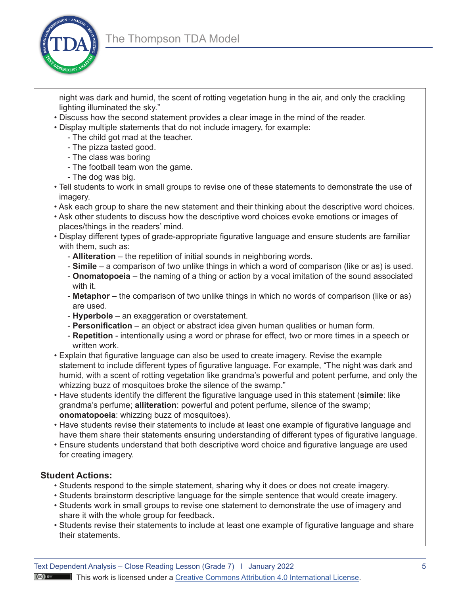

- night was dark and humid, the scent of rotting vegetation hung in the air, and only the crackling lighting illuminated the sky."
- Discuss how the second statement provides a clear image in the mind of the reader.
- Display multiple statements that do not include imagery, for example:
	- The child got mad at the teacher.
	- The pizza tasted good.
	- The class was boring
	- The football team won the game.
	- The dog was big.
- Tell students to work in small groups to revise one of these statements to demonstrate the use of imagery.
- Ask each group to share the new statement and their thinking about the descriptive word choices.
- Ask other students to discuss how the descriptive word choices evoke emotions or images of places/things in the readers' mind.
- Display different types of grade-appropriate figurative language and ensure students are familiar with them, such as:
	- **Alliteration** the repetition of initial sounds in neighboring words.
	- **Simile** a comparison of two unlike things in which a word of comparison (like or as) is used.
	- **Onomatopoeia**  the naming of a thing or action by a vocal imitation of the sound associated with it.
	- **Metaphor** the comparison of two unlike things in which no words of comparison (like or as) are used.
	- **Hyperbole** an exaggeration or overstatement.
	- **Personification** an object or abstract idea given human qualities or human form.
	- **Repetition** intentionally using a word or phrase for effect, two or more times in a speech or written work.
- Explain that figurative language can also be used to create imagery. Revise the example statement to include different types of figurative language. For example, "The night was dark and humid, with a scent of rotting vegetation like grandma's powerful and potent perfume, and only the whizzing buzz of mosquitoes broke the silence of the swamp."
- Have students identify the different the figurative language used in this statement (**simile**: like grandma's perfume; **alliteration**: powerful and potent perfume, silence of the swamp; **onomatopoeia**: whizzing buzz of mosquitoes).
- Have students revise their statements to include at least one example of figurative language and have them share their statements ensuring understanding of different types of figurative language.
- Ensure students understand that both descriptive word choice and figurative language are used for creating imagery.

# **Student Actions:**

- Students respond to the simple statement, sharing why it does or does not create imagery.
- Students brainstorm descriptive language for the simple sentence that would create imagery.
- Students work in small groups to revise one statement to demonstrate the use of imagery and share it with the whole group for feedback.
- Students revise their statements to include at least one example of figurative language and share their statements.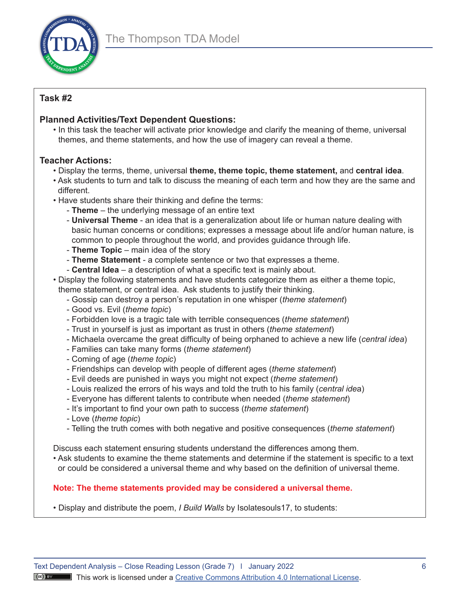

# **Task #2**

# **Planned Activities/Text Dependent Questions:**

• In this task the teacher will activate prior knowledge and clarify the meaning of theme, universal themes, and theme statements, and how the use of imagery can reveal a theme.

# **Teacher Actions:**

- Display the terms, theme, universal **theme, theme topic, theme statement,** and **central idea**.
- Ask students to turn and talk to discuss the meaning of each term and how they are the same and different.
- Have students share their thinking and define the terms:
	- **Theme** the underlying message of an entire text
	- **Universal Theme** an idea that is a generalization about life or human nature dealing with basic human concerns or conditions; expresses a message about life and/or human nature, is common to people throughout the world, and provides guidance through life.
	- **Theme Topic** main idea of the story
	- **Theme Statement** a complete sentence or two that expresses a theme.
	- **Central Idea** a description of what a specific text is mainly about.
- Display the following statements and have students categorize them as either a theme topic, theme statement, or central idea. Ask students to justify their thinking.
	- Gossip can destroy a person's reputation in one whisper (*theme statement*)
	- Good vs. Evil (*theme topic*)
	- Forbidden love is a tragic tale with terrible consequences (*theme statement*)
	- Trust in yourself is just as important as trust in others (*theme statement*)
	- Michaela overcame the great difficulty of being orphaned to achieve a new life (*central idea*)
	- Families can take many forms (*theme statement*)
	- Coming of age (*theme topic*)
	- Friendships can develop with people of different ages (*theme statement*)
	- Evil deeds are punished in ways you might not expect (*theme statement*)
	- Louis realized the errors of his ways and told the truth to his family (*central ide*a)
	- Everyone has different talents to contribute when needed (*theme statement*)
	- It's important to find your own path to success (*theme statement*)
	- Love (*theme topic*)
	- Telling the truth comes with both negative and positive consequences (*theme statement*)

Discuss each statement ensuring students understand the differences among them.

• Ask students to examine the theme statements and determine if the statement is specific to a text or could be considered a universal theme and why based on the definition of universal theme.

# **Note: The theme statements provided may be considered a universal theme.**

• Display and distribute the poem, *I Build Walls* by Isolatesouls17, to students: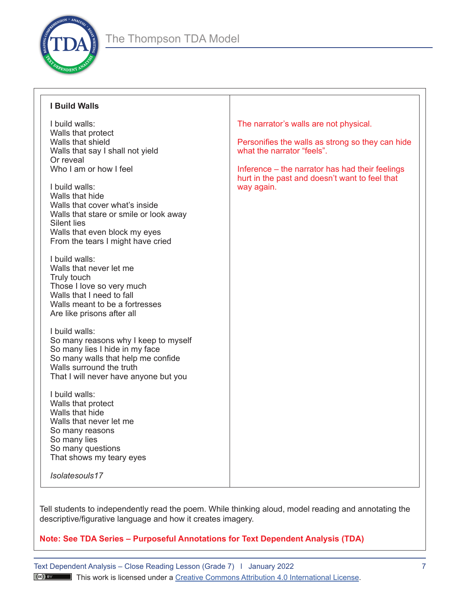

| <b>I Build Walls</b>                                                                                                                                                                                                                                                                                                                                                                                                                                                                                                                                                                                                                                                                                                                                                                                                                                                                                                                       |                                                                                                                                                                                                                                             |
|--------------------------------------------------------------------------------------------------------------------------------------------------------------------------------------------------------------------------------------------------------------------------------------------------------------------------------------------------------------------------------------------------------------------------------------------------------------------------------------------------------------------------------------------------------------------------------------------------------------------------------------------------------------------------------------------------------------------------------------------------------------------------------------------------------------------------------------------------------------------------------------------------------------------------------------------|---------------------------------------------------------------------------------------------------------------------------------------------------------------------------------------------------------------------------------------------|
| I build walls:<br>Walls that protect<br>Walls that shield<br>Walls that say I shall not yield<br>Or reveal<br>Who I am or how I feel<br>I build walls:<br>Walls that hide<br>Walls that cover what's inside<br>Walls that stare or smile or look away<br><b>Silent lies</b><br>Walls that even block my eyes<br>From the tears I might have cried<br>I build walls:<br>Walls that never let me<br>Truly touch<br>Those I love so very much<br>Walls that I need to fall<br>Walls meant to be a fortresses<br>Are like prisons after all<br>I build walls:<br>So many reasons why I keep to myself<br>So many lies I hide in my face<br>So many walls that help me confide<br>Walls surround the truth<br>That I will never have anyone but you<br>I build walls:<br>Walls that protect<br>Walls that hide<br>Walls that never let me<br>So many reasons<br>So many lies<br>So many questions<br>That shows my teary eyes<br>Isolatesouls17 | The narrator's walls are not physical.<br>Personifies the walls as strong so they can hide<br>what the narrator "feels".<br>Inference – the narrator has had their feelings<br>hurt in the past and doesn't want to feel that<br>way again. |

Tell students to independently read the poem. While thinking aloud, model reading and annotating the descriptive/figurative language and how it creates imagery.

# **Note: See TDA Series – Purposeful Annotations for Text Dependent Analysis (TDA)**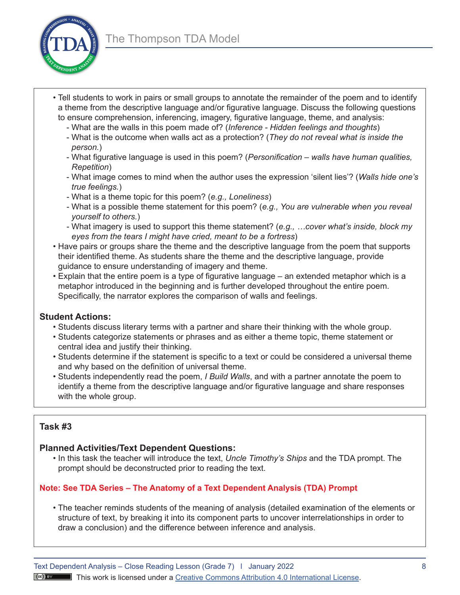

- Tell students to work in pairs or small groups to annotate the remainder of the poem and to identify a theme from the descriptive language and/or figurative language. Discuss the following questions to ensure comprehension, inferencing, imagery, figurative language, theme, and analysis:
	- What are the walls in this poem made of? (*Inference Hidden feelings and thoughts*)
	- What is the outcome when walls act as a protection? (*They do not reveal what is inside the person.*)
	- What figurative language is used in this poem? (*Personification walls have human qualities, Repetition*)
	- What image comes to mind when the author uses the expression 'silent lies'? (*Walls hide one's true feelings.*)
	- What is a theme topic for this poem? (*e.g., Loneliness*)
	- What is a possible theme statement for this poem? (*e.g., You are vulnerable when you reveal yourself to others.*)
	- What imagery is used to support this theme statement? (*e.g., …cover what's inside, block my eyes from the tears I might have cried, meant to be a fortress*)
- Have pairs or groups share the theme and the descriptive language from the poem that supports their identified theme. As students share the theme and the descriptive language, provide guidance to ensure understanding of imagery and theme.
- Explain that the entire poem is a type of figurative language an extended metaphor which is a metaphor introduced in the beginning and is further developed throughout the entire poem. Specifically, the narrator explores the comparison of walls and feelings.

# **Student Actions:**

- Students discuss literary terms with a partner and share their thinking with the whole group.
- Students categorize statements or phrases and as either a theme topic, theme statement or central idea and justify their thinking.
- Students determine if the statement is specific to a text or could be considered a universal theme and why based on the definition of universal theme.
- Students independently read the poem, *I Build Walls*, and with a partner annotate the poem to identify a theme from the descriptive language and/or figurative language and share responses with the whole group.

# **Task #3**

# **Planned Activities/Text Dependent Questions:**

• In this task the teacher will introduce the text, *Uncle Timothy's Ships* and the TDA prompt. The prompt should be deconstructed prior to reading the text.

# **Note: See TDA Series – The Anatomy of a Text Dependent Analysis (TDA) Prompt**

• The teacher reminds students of the meaning of analysis (detailed examination of the elements or structure of text, by breaking it into its component parts to uncover interrelationships in order to draw a conclusion) and the difference between inference and analysis.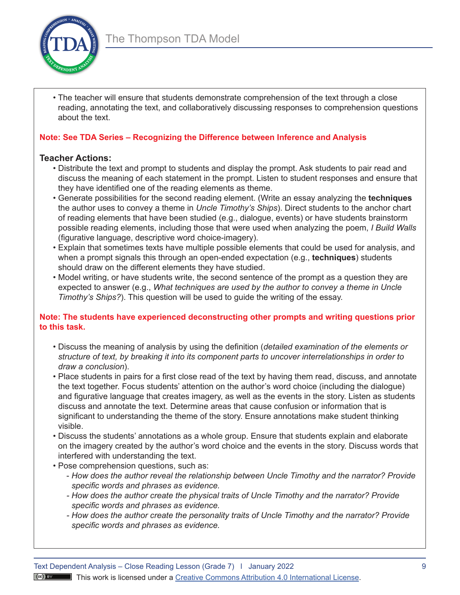

• The teacher will ensure that students demonstrate comprehension of the text through a close reading, annotating the text, and collaboratively discussing responses to comprehension questions about the text.

## **Note: See TDA Series – Recognizing the Difference between Inference and Analysis**

# **Teacher Actions:**

- Distribute the text and prompt to students and display the prompt. Ask students to pair read and discuss the meaning of each statement in the prompt. Listen to student responses and ensure that they have identified one of the reading elements as theme.
- Generate possibilities for the second reading element. (Write an essay analyzing the **techniques**  the author uses to convey a theme in *Uncle Timothy's Ships*). Direct students to the anchor chart of reading elements that have been studied (e.g., dialogue, events) or have students brainstorm possible reading elements, including those that were used when analyzing the poem, *I Build Walls*  (figurative language, descriptive word choice-imagery).
- Explain that sometimes texts have multiple possible elements that could be used for analysis, and when a prompt signals this through an open-ended expectation (e.g., **techniques**) students should draw on the different elements they have studied.
- Model writing, or have students write, the second sentence of the prompt as a question they are expected to answer (e.g., *What techniques are used by the author to convey a theme in Uncle Timothy's Ships?*). This question will be used to guide the writing of the essay.

## **Note: The students have experienced deconstructing other prompts and writing questions prior to this task.**

- Discuss the meaning of analysis by using the definition (*detailed examination of the elements or structure of text, by breaking it into its component parts to uncover interrelationships in order to draw a conclusion*).
- Place students in pairs for a first close read of the text by having them read, discuss, and annotate the text together. Focus students' attention on the author's word choice (including the dialogue) and figurative language that creates imagery, as well as the events in the story. Listen as students discuss and annotate the text. Determine areas that cause confusion or information that is significant to understanding the theme of the story. Ensure annotations make student thinking visible.
- Discuss the students' annotations as a whole group. Ensure that students explain and elaborate on the imagery created by the author's word choice and the events in the story. Discuss words that interfered with understanding the text.
- Pose comprehension questions, such as:
	- *How does the author reveal the relationship between Uncle Timothy and the narrator? Provide specific words and phrases as evidence.*
	- *- How does the author create the physical traits of Uncle Timothy and the narrator? Provide specific words and phrases as evidence.*
	- *- How does the author create the personality traits of Uncle Timothy and the narrator? Provide specific words and phrases as evidence.*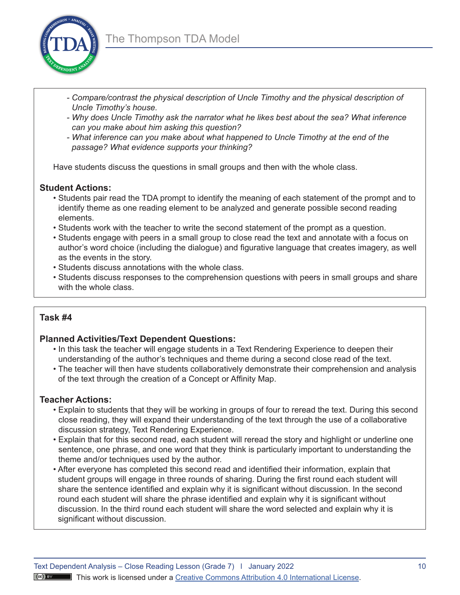

- *- Compare/contrast the physical description of Uncle Timothy and the physical description of Uncle Timothy's house.*
- *- Why does Uncle Timothy ask the narrator what he likes best about the sea? What inference can you make about him asking this question?*
- *- What inference can you make about what happened to Uncle Timothy at the end of the passage? What evidence supports your thinking?*

Have students discuss the questions in small groups and then with the whole class.

#### **Student Actions:**

- Students pair read the TDA prompt to identify the meaning of each statement of the prompt and to identify theme as one reading element to be analyzed and generate possible second reading elements.
- Students work with the teacher to write the second statement of the prompt as a question.
- Students engage with peers in a small group to close read the text and annotate with a focus on author's word choice (including the dialogue) and figurative language that creates imagery, as well as the events in the story.
- Students discuss annotations with the whole class.
- Students discuss responses to the comprehension questions with peers in small groups and share with the whole class.

# **Task #4**

# **Planned Activities/Text Dependent Questions:**

- In this task the teacher will engage students in a Text Rendering Experience to deepen their understanding of the author's techniques and theme during a second close read of the text.
- The teacher will then have students collaboratively demonstrate their comprehension and analysis of the text through the creation of a Concept or Affinity Map.

#### **Teacher Actions:**

- Explain to students that they will be working in groups of four to reread the text. During this second close reading, they will expand their understanding of the text through the use of a collaborative discussion strategy, Text Rendering Experience.
- Explain that for this second read, each student will reread the story and highlight or underline one sentence, one phrase, and one word that they think is particularly important to understanding the theme and/or techniques used by the author.
- After everyone has completed this second read and identified their information, explain that student groups will engage in three rounds of sharing. During the first round each student will share the sentence identified and explain why it is significant without discussion. In the second round each student will share the phrase identified and explain why it is significant without discussion. In the third round each student will share the word selected and explain why it is significant without discussion.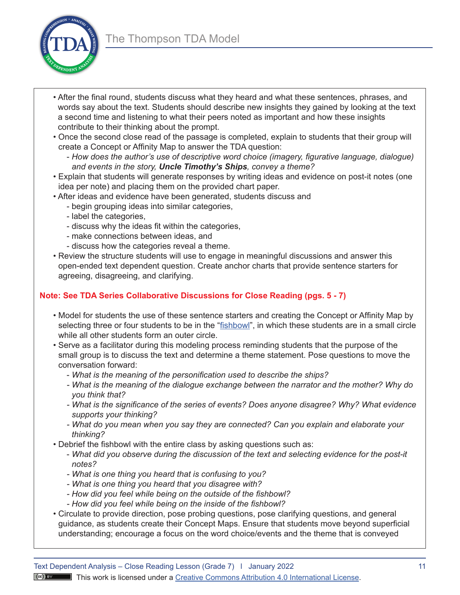

- After the final round, students discuss what they heard and what these sentences, phrases, and words say about the text. Students should describe new insights they gained by looking at the text a second time and listening to what their peers noted as important and how these insights contribute to their thinking about the prompt.
- Once the second close read of the passage is completed, explain to students that their group will create a Concept or Affinity Map to answer the TDA question:
	- *How does the author's use of descriptive word choice (imagery, figurative language, dialogue) and events in the story, Uncle Timothy's Ships, convey a theme?*
- Explain that students will generate responses by writing ideas and evidence on post-it notes (one idea per note) and placing them on the provided chart paper.
- After ideas and evidence have been generated, students discuss and
	- begin grouping ideas into similar categories,
	- label the categories,
	- discuss why the ideas fit within the categories,
	- make connections between ideas, and
	- discuss how the categories reveal a theme.
- Review the structure students will use to engage in meaningful discussions and answer this open-ended text dependent question. Create anchor charts that provide sentence starters for agreeing, disagreeing, and clarifying.

# **Note: See TDA Series Collaborative Discussions for Close Reading (pgs. 5 - 7)**

- Model for students the use of these sentence starters and creating the Concept or Affinity Map by selecting three or four students to be in the "[fishbowl](https://kidskonnect.com/articles/fishbowl-discussion/)", in which these students are in a small circle while all other students form an outer circle.
- Serve as a facilitator during this modeling process reminding students that the purpose of the small group is to discuss the text and determine a theme statement. Pose questions to move the conversation forward:
	- *What is the meaning of the personification used to describe the ships?*
	- *- What is the meaning of the dialogue exchange between the narrator and the mother? Why do you think that?*
	- *- What is the significance of the series of events? Does anyone disagree? Why? What evidence supports your thinking?*
	- *- What do you mean when you say they are connected? Can you explain and elaborate your thinking?*
- Debrief the fishbowl with the entire class by asking questions such as:
	- *What did you observe during the discussion of the text and selecting evidence for the post-it notes?*
	- *- What is one thing you heard that is confusing to you?*
	- *- What is one thing you heard that you disagree with?*
	- *- How did you feel while being on the outside of the fishbowl?*
	- *- How did you feel while being on the inside of the fishbowl?*
- Circulate to provide direction, pose probing questions, pose clarifying questions, and general guidance, as students create their Concept Maps. Ensure that students move beyond superficial understanding; encourage a focus on the word choice/events and the theme that is conveyed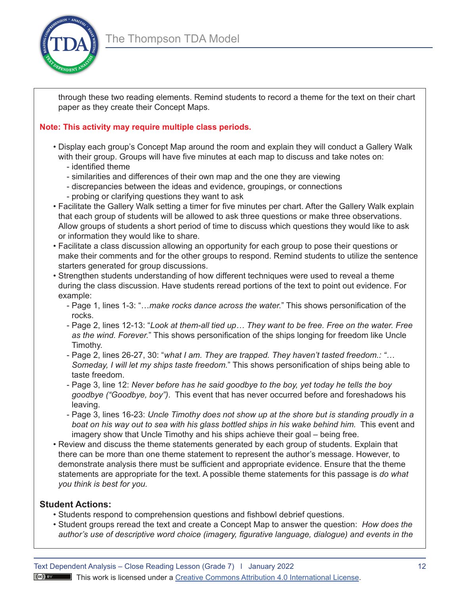

through these two reading elements. Remind students to record a theme for the text on their chart paper as they create their Concept Maps.

# **Note: This activity may require multiple class periods.**

- Display each group's Concept Map around the room and explain they will conduct a Gallery Walk with their group. Groups will have five minutes at each map to discuss and take notes on:
	- identified theme
	- similarities and differences of their own map and the one they are viewing
	- discrepancies between the ideas and evidence, groupings, or connections
	- probing or clarifying questions they want to ask
- Facilitate the Gallery Walk setting a timer for five minutes per chart. After the Gallery Walk explain that each group of students will be allowed to ask three questions or make three observations. Allow groups of students a short period of time to discuss which questions they would like to ask or information they would like to share.
- Facilitate a class discussion allowing an opportunity for each group to pose their questions or make their comments and for the other groups to respond. Remind students to utilize the sentence starters generated for group discussions.
- Strengthen students understanding of how different techniques were used to reveal a theme during the class discussion. Have students reread portions of the text to point out evidence. For example:
	- Page 1, lines 1-3: "…*make rocks dance across the water.*" This shows personification of the rocks.
	- Page 2, lines 12-13: "*Look at them-all tied up… They want to be free. Free on the water. Free as the wind. Forever.*" This shows personification of the ships longing for freedom like Uncle Timothy.
	- Page 2, lines 26-27, 30: "*what I am. They are trapped. They haven't tasted freedom.: "… Someday, I will let my ships taste freedom.*" This shows personification of ships being able to taste freedom.
	- Page 3, line 12: *Never before has he said goodbye to the boy, yet today he tells the boy goodbye ("Goodbye, boy")*. This event that has never occurred before and foreshadows his leaving.
	- *boat on his way out to sea with his glass bottled ships in his wake behind him.* This event and - Page 3, lines 16-23: *Uncle Timothy does not show up at the shore but is standing proudly in a*  imagery show that Uncle Timothy and his ships achieve their goal – being free.
- Review and discuss the theme statements generated by each group of students. Explain that there can be more than one theme statement to represent the author's message. However, to demonstrate analysis there must be sufficient and appropriate evidence. Ensure that the theme statements are appropriate for the text. A possible theme statements for this passage is *do what you think is best for you.*

# **Student Actions:**

- Students respond to comprehension questions and fishbowl debrief questions.
- Student groups reread the text and create a Concept Map to answer the question: *How does the author's use of descriptive word choice (imagery, figurative language, dialogue) and events in the*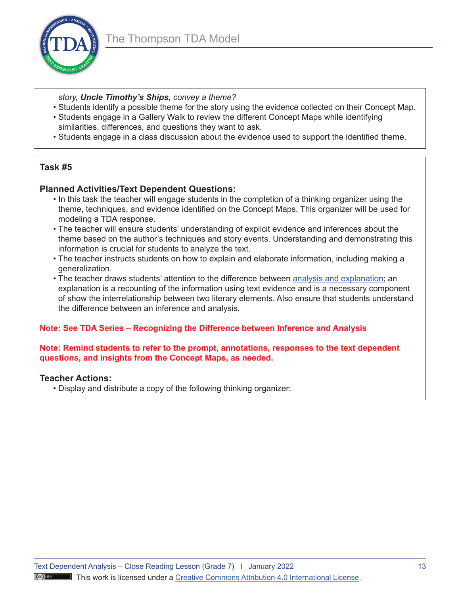

- *story, Uncle Timothy's Ships, convey a theme?*
- Students identify a possible theme for the story using the evidence collected on their Concept Map. • Students engage in a Gallery Walk to review the different Concept Maps while identifying
- similarities, differences, and questions they want to ask.
- Students engage in a class discussion about the evidence used to support the identified theme.

# **Task #5**

## **Planned Activities/Text Dependent Questions:**

- In this task the teacher will engage students in the completion of a thinking organizer using the theme, techniques, and evidence identified on the Concept Maps. This organizer will be used for modeling a TDA response.
- The teacher will ensure students' understanding of explicit evidence and inferences about the theme based on the author's techniques and story events. Understanding and demonstrating this information is crucial for students to analyze the text.
- The teacher instructs students on how to explain and elaborate information, including making a generalization.
- The teacher draws students' attention to the difference between [analysis and explanation](https://www.nciea.org/blog/text-dependent-analysis/analysis-does-word-matter-defining-expectations-student-performance); an explanation is a recounting of the information using text evidence and is a necessary component of show the interrelationship between two literary elements. Also ensure that students understand the difference between an inference and analysis.

#### **Note: See TDA Series – Recognizing the Difference between Inference and Analysis**

#### **Note: Remind students to refer to the prompt, annotations, responses to the text dependent questions, and insights from the Concept Maps, as needed.**

#### **Teacher Actions:**

• Display and distribute a copy of the following thinking organizer: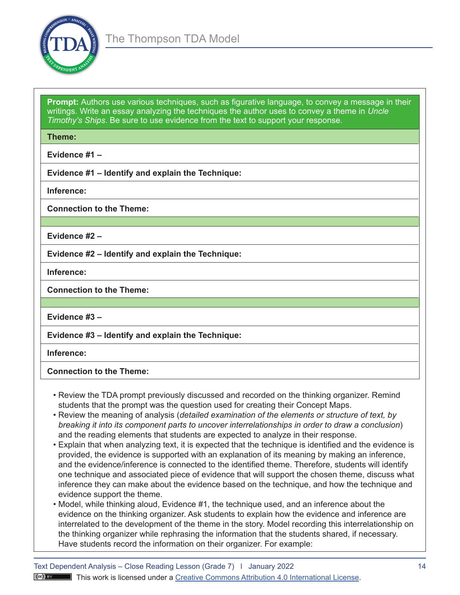

**Prompt:** Authors use various techniques, such as figurative language, to convey a message in their writings. Write an essay analyzing the techniques the author uses to convey a theme in *Uncle Timothy's Ships*. Be sure to use evidence from the text to support your response.

**Theme:** 

**Evidence #1 –** 

**Evidence #1 – Identify and explain the Technique:** 

**Inference:** 

**Connection to the Theme:** 

**Evidence #2 –** 

**Evidence #2 – Identify and explain the Technique:** 

**Inference:** 

**Connection to the Theme:** 

**Evidence #3 –** 

**Evidence #3 – Identify and explain the Technique:** 

**Inference:** 

**Connection to the Theme:** 

- Review the TDA prompt previously discussed and recorded on the thinking organizer. Remind students that the prompt was the question used for creating their Concept Maps.
- Review the meaning of analysis (*detailed examination of the elements or structure of text, by breaking it into its component parts to uncover interrelationships in order to draw a conclusion*) and the reading elements that students are expected to analyze in their response.
- Explain that when analyzing text, it is expected that the technique is identified and the evidence is provided, the evidence is supported with an explanation of its meaning by making an inference, and the evidence/inference is connected to the identified theme. Therefore, students will identify one technique and associated piece of evidence that will support the chosen theme, discuss what inference they can make about the evidence based on the technique, and how the technique and evidence support the theme.
- Model, while thinking aloud, Evidence #1, the technique used, and an inference about the evidence on the thinking organizer. Ask students to explain how the evidence and inference are interrelated to the development of the theme in the story. Model recording this interrelationship on the thinking organizer while rephrasing the information that the students shared, if necessary. Have students record the information on their organizer. For example: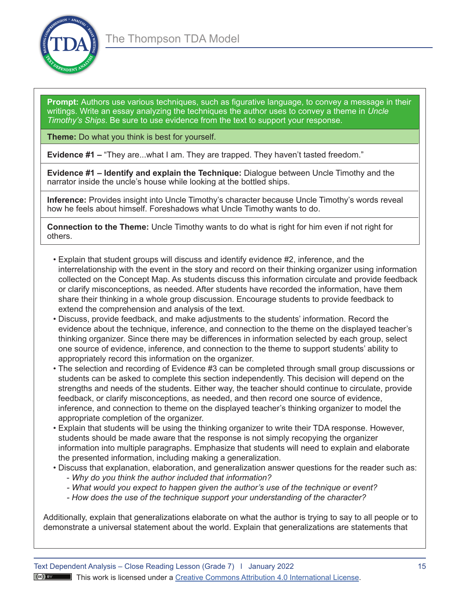

**Prompt:** Authors use various techniques, such as figurative language, to convey a message in their writings. Write an essay analyzing the techniques the author uses to convey a theme in *Uncle Timothy's Ships*. Be sure to use evidence from the text to support your response.

**Theme:** Do what you think is best for yourself.

**Evidence #1 –** "They are...what I am. They are trapped. They haven't tasted freedom."

**Evidence #1 – Identify and explain the Technique:** Dialogue between Uncle Timothy and the narrator inside the uncle's house while looking at the bottled ships.

**Inference:** Provides insight into Uncle Timothy's character because Uncle Timothy's words reveal how he feels about himself. Foreshadows what Uncle Timothy wants to do.

**Connection to the Theme:** Uncle Timothy wants to do what is right for him even if not right for others.

- Explain that student groups will discuss and identify evidence #2, inference, and the interrelationship with the event in the story and record on their thinking organizer using information collected on the Concept Map. As students discuss this information circulate and provide feedback or clarify misconceptions, as needed. After students have recorded the information, have them share their thinking in a whole group discussion. Encourage students to provide feedback to extend the comprehension and analysis of the text.
- Discuss, provide feedback, and make adjustments to the students' information. Record the evidence about the technique, inference, and connection to the theme on the displayed teacher's thinking organizer. Since there may be differences in information selected by each group, select one source of evidence, inference, and connection to the theme to support students' ability to appropriately record this information on the organizer.
- The selection and recording of Evidence #3 can be completed through small group discussions or students can be asked to complete this section independently. This decision will depend on the strengths and needs of the students. Either way, the teacher should continue to circulate, provide feedback, or clarify misconceptions, as needed, and then record one source of evidence, inference, and connection to theme on the displayed teacher's thinking organizer to model the appropriate completion of the organizer.
- Explain that students will be using the thinking organizer to write their TDA response. However, students should be made aware that the response is not simply recopying the organizer information into multiple paragraphs. Emphasize that students will need to explain and elaborate the presented information, including making a generalization.
- Discuss that explanation, elaboration, and generalization answer questions for the reader such as:
	- *Why do you think the author included that information?*
	- *- What would you expect to happen given the author's use of the technique or event?*
	- *- How does the use of the technique support your understanding of the character?*

Additionally, explain that generalizations elaborate on what the author is trying to say to all people or to demonstrate a universal statement about the world. Explain that generalizations are statements that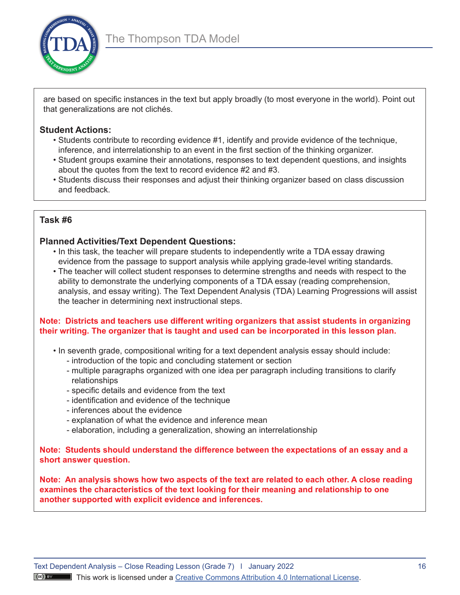

are based on specific instances in the text but apply broadly (to most everyone in the world). Point out that generalizations are not clichés.

# **Student Actions:**

- Students contribute to recording evidence #1, identify and provide evidence of the technique, inference, and interrelationship to an event in the first section of the thinking organizer.
- Student groups examine their annotations, responses to text dependent questions, and insights about the quotes from the text to record evidence #2 and #3.
- Students discuss their responses and adjust their thinking organizer based on class discussion and feedback.

# **Task #6**

# **Planned Activities/Text Dependent Questions:**

- In this task, the teacher will prepare students to independently write a TDA essay drawing evidence from the passage to support analysis while applying grade-level writing standards.
- The teacher will collect student responses to determine strengths and needs with respect to the ability to demonstrate the underlying components of a TDA essay (reading comprehension, analysis, and essay writing). The Text Dependent Analysis (TDA) Learning Progressions will assist the teacher in determining next instructional steps.

## **Note: Districts and teachers use different writing organizers that assist students in organizing their writing. The organizer that is taught and used can be incorporated in this lesson plan.**

- In seventh grade, compositional writing for a text dependent analysis essay should include:
	- introduction of the topic and concluding statement or section
	- multiple paragraphs organized with one idea per paragraph including transitions to clarify relationships
	- specific details and evidence from the text
	- identification and evidence of the technique
	- inferences about the evidence
	- explanation of what the evidence and inference mean
	- elaboration, including a generalization, showing an interrelationship

**Note: Students should understand the difference between the expectations of an essay and a short answer question.** 

**Note: An analysis shows how two aspects of the text are related to each other. A close reading examines the characteristics of the text looking for their meaning and relationship to one another supported with explicit evidence and inferences.**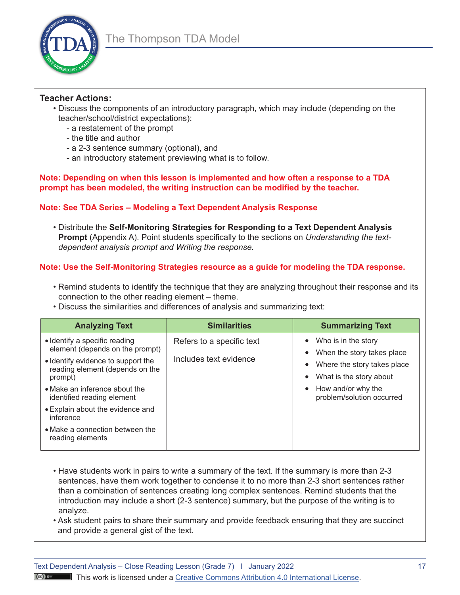

## **Teacher Actions:**

- Discuss the components of an introductory paragraph, which may include (depending on the teacher/school/district expectations):
	- a restatement of the prompt
	- the title and author
	- a 2-3 sentence summary (optional), and
	- an introductory statement previewing what is to follow.

**Note: Depending on when this lesson is implemented and how often a response to a TDA prompt has been modeled, the writing instruction can be modified by the teacher.**

# **Note: See TDA Series – Modeling a Text Dependent Analysis Response**

• Distribute the **Self-Monitoring Strategies for Responding to a Text Dependent Analysis Prompt** (Appendix A). Point students specifically to the sections on *Understanding the textdependent analysis prompt and Writing the response.*

# **Note: Use the Self-Monitoring Strategies resource as a guide for modeling the TDA response.**

- Remind students to identify the technique that they are analyzing throughout their response and its connection to the other reading element – theme.
- Discuss the similarities and differences of analysis and summarizing text:

| <b>Analyzing Text</b>                                                            | <b>Similarities</b>                                                                        | <b>Summarizing Text</b>                                      |
|----------------------------------------------------------------------------------|--------------------------------------------------------------------------------------------|--------------------------------------------------------------|
| • Identify a specific reading<br>element (depends on the prompt)                 | Refers to a specific text<br>$\bullet$<br>$\bullet$<br>Includes text evidence<br>$\bullet$ | Who is in the story<br>When the story takes place            |
| • Identify evidence to support the<br>reading element (depends on the<br>prompt) |                                                                                            | Where the story takes place<br>What is the story about       |
| • Make an inference about the<br>identified reading element                      |                                                                                            | How and/or why the<br>$\bullet$<br>problem/solution occurred |
| • Explain about the evidence and<br>inference                                    |                                                                                            |                                                              |
| • Make a connection between the<br>reading elements                              |                                                                                            |                                                              |

- Have students work in pairs to write a summary of the text. If the summary is more than 2-3 sentences, have them work together to condense it to no more than 2-3 short sentences rather than a combination of sentences creating long complex sentences. Remind students that the introduction may include a short (2-3 sentence) summary, but the purpose of the writing is to analyze.
- Ask student pairs to share their summary and provide feedback ensuring that they are succinct and provide a general gist of the text.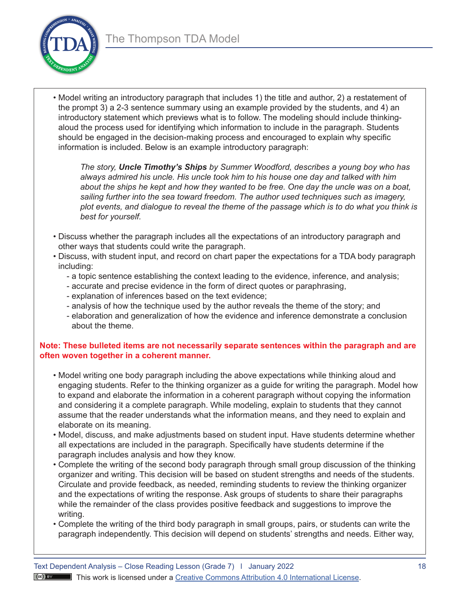

• Model writing an introductory paragraph that includes 1) the title and author, 2) a restatement of the prompt 3) a 2-3 sentence summary using an example provided by the students, and 4) an introductory statement which previews what is to follow. The modeling should include thinkingaloud the process used for identifying which information to include in the paragraph. Students should be engaged in the decision-making process and encouraged to explain why specific information is included. Below is an example introductory paragraph:

*The story, Uncle Timothy's Ships by Summer Woodford, describes a young boy who has always admired his uncle. His uncle took him to his house one day and talked with him about the ships he kept and how they wanted to be free. One day the uncle was on a boat, sailing further into the sea toward freedom. The author used techniques such as imagery, plot events, and dialogue to reveal the theme of the passage which is to do what you think is best for yourself.* 

- Discuss whether the paragraph includes all the expectations of an introductory paragraph and other ways that students could write the paragraph.
- Discuss, with student input, and record on chart paper the expectations for a TDA body paragraph including:
	- a topic sentence establishing the context leading to the evidence, inference, and analysis;
	- accurate and precise evidence in the form of direct quotes or paraphrasing,
	- explanation of inferences based on the text evidence;
	- analysis of how the technique used by the author reveals the theme of the story; and
	- elaboration and generalization of how the evidence and inference demonstrate a conclusion about the theme.

## **Note: These bulleted items are not necessarily separate sentences within the paragraph and are often woven together in a coherent manner.**

- Model writing one body paragraph including the above expectations while thinking aloud and engaging students. Refer to the thinking organizer as a guide for writing the paragraph. Model how to expand and elaborate the information in a coherent paragraph without copying the information and considering it a complete paragraph. While modeling, explain to students that they cannot assume that the reader understands what the information means, and they need to explain and elaborate on its meaning.
- Model, discuss, and make adjustments based on student input. Have students determine whether all expectations are included in the paragraph. Specifically have students determine if the paragraph includes analysis and how they know.
- Complete the writing of the second body paragraph through small group discussion of the thinking organizer and writing. This decision will be based on student strengths and needs of the students. Circulate and provide feedback, as needed, reminding students to review the thinking organizer and the expectations of writing the response. Ask groups of students to share their paragraphs while the remainder of the class provides positive feedback and suggestions to improve the writing.
- Complete the writing of the third body paragraph in small groups, pairs, or students can write the paragraph independently. This decision will depend on students' strengths and needs. Either way,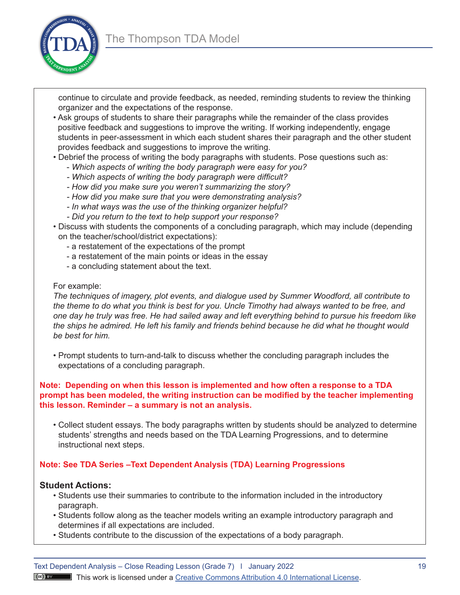

continue to circulate and provide feedback, as needed, reminding students to review the thinking organizer and the expectations of the response.

- Ask groups of students to share their paragraphs while the remainder of the class provides positive feedback and suggestions to improve the writing. If working independently, engage students in peer-assessment in which each student shares their paragraph and the other student provides feedback and suggestions to improve the writing.
- Debrief the process of writing the body paragraphs with students. Pose questions such as:
	- *Which aspects of writing the body paragraph were easy for you?*
	- *- Which aspects of writing the body paragraph were difficult?*
	- *- How did you make sure you weren't summarizing the story?*
	- *- How did you make sure that you were demonstrating analysis?*
	- *- In what ways was the use of the thinking organizer helpful?*
	- *- Did you return to the text to help support your response?*
- Discuss with students the components of a concluding paragraph, which may include (depending on the teacher/school/district expectations):
	- a restatement of the expectations of the prompt
	- a restatement of the main points or ideas in the essay
	- a concluding statement about the text.

#### For example:

*The techniques of imagery, plot events, and dialogue used by Summer Woodford, all contribute to the theme to do what you think is best for you. Uncle Timothy had always wanted to be free, and one day he truly was free. He had sailed away and left everything behind to pursue his freedom like the ships he admired. He left his family and friends behind because he did what he thought would be best for him.* 

• Prompt students to turn-and-talk to discuss whether the concluding paragraph includes the expectations of a concluding paragraph.

#### **Note: Depending on when this lesson is implemented and how often a response to a TDA prompt has been modeled, the writing instruction can be modified by the teacher implementing this lesson. Reminder – a summary is not an analysis.**

• Collect student essays. The body paragraphs written by students should be analyzed to determine students' strengths and needs based on the TDA Learning Progressions, and to determine instructional next steps.

#### **Note: See TDA Series –Text Dependent Analysis (TDA) Learning Progressions**

#### **Student Actions:**

- Students use their summaries to contribute to the information included in the introductory paragraph.
- Students follow along as the teacher models writing an example introductory paragraph and determines if all expectations are included.
- Students contribute to the discussion of the expectations of a body paragraph.